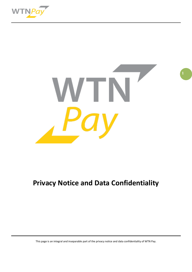



**1**

# **Privacy Notice and Data Confidentiality**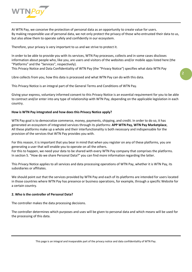

At WTN Pay, we conceive the protection of personal data as an opportunity to create value for users. By making responsible use of personal data, we not only protect the privacy of those who entrusted their data to us, but also allow them to operate safely and confidently in our ecosystem.

Therefore, your privacy is very important to us and we strive to protect it.

In order to be able to provide you with its services, WTN Pay processes, collects and in some cases discloses information about people who, like you, are users and visitors of the websites and/or mobile apps listed here (the "Platforms" and the "Services", respectively).

**2**

This Privacy Notice and Data Confidentiality of WTN Pay (the "Privacy Notice") specifies what data WTN Pay

Libre collects from you, how this data is processed and what WTN Pay can do with this data.

This Privacy Notice is an integral part of the General Terms and Conditions of WTN Pay.

Giving your express, voluntary informed consent to this Privacy Notice is an essential requirement for you to be able to contract and/or enter into any type of relationship with WTN Pay, depending on the applicable legislation in each country.

## **How is WTN Pay integrated and how does this Privacy Notice apply?**

WTN Pay goal is to democratize commerce, money, payments, shipping, and credit. In order to do so, it has generated an ecosystem of integrated services through its platforms: **APP WTN Pay, WTN Pay Marketplace**, All these platforms make up a whole and their interfunctionality is both necessary and indispensable for the provision of the services that WTN Pay provides you with.

For this reason, it is important that you bear in mind that when you register on any of these platforms, you are generating a user that will enable you to operate on all the others.

For this to happen, we need your data to be shared with every WTN Pay company that comprises the platforms. In section 5. "How do we share Personal Data?" you can find more information regarding the latter.

This Privacy Notice applies to all services and data processing operations of WTN Pay, whether it is WTN Pay, its subsidiaries or affiliates.

We should point out that the services provided by WTN Pay and each of its platforms are intended for users located in those countries where WTN Pay has presence or business operations, for example, through a specific Website for a certain country.

#### **2. Who is the controller of Personal Data?**

The controller makes the data processing decisions.

The controller determines which purposes and uses will be given to personal data and which means will be used for the processing of this data.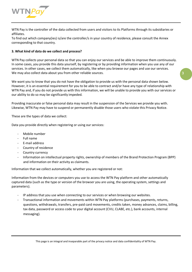

WTN Pay is the controller of the data collected from users and visitors to its Platforms through its subsidiaries or affiliates.

To find out which company(ies) is/are the controller/s in your country of residence, please consult the Annex corresponding to that country.

# **3. What kind of data do we collect and process?**

WTN Pay collects your personal data so that you can enjoy our services and be able to improve them continuously. In some cases, you provide this data yourself, by registering or by providing information when you use any of our services. In other cases, we collect them automatically, like when you browse our pages and use our services. We may also collect data about you from other reliable sources.

**3**

We want you to know that you do not have the obligation to provide us with the personal data shown below. However, it is an essential requirement for you to be able to contract and/or have any type of relationship with WTN Pay and, if you do not provide us with this information, we will be unable to provide you with our services or our ability to do so may be significantly impeded.

Providing inaccurate or false personal data may result in the suspension of the Services we provide you with. Likewise, WTN Pay may have to suspend or permanently disable those users who violate this Privacy Notice.

These are the types of data we collect:

Data you provide directly when registering or using our services:

- Mobile number
- Full name
- E-mail address
- Country of residence
- Country currency
- Information on intellectual property rights, ownership of members of the Brand Protection Program (BPP) and information on their activity as claimants.

Information that we collect automatically, whether you are registered or not:

Information from the devices or computers you use to access the WTN Pay platform and other automatically captured data (such as the type or version of the browser you are using, the operating system, settings and parameters).

- IP address that you use when connecting to our services or when browsing our websites.
- Transactional information and movements within WTN Pay platforms (purchases, payments, returns, questions, withdrawals, transfers, pre-paid card movements, credits taken, money advances, claims, billing, tax data, password or access code to your digital account (CVU, CLABE, etc.), bank accounts, internal messaging).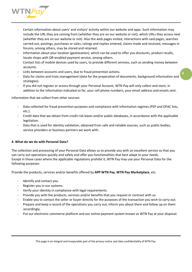

- Certain information about users' and visitors' activity within our website and apps. Such information may include the URL they are coming from (whether they are on our website or not), which URLs they access next (whether they are on our website or not). Also the web pages visited, interactions with said pages, searches carried out, postings, purchases or sales, ratings and replies entered, claims made and received, messages in forums, among others, may be stored and retained.
- Information about your location (geolocation), which can be used to offer you discounts, product recalls, locate shops with QR-enabled payment service, among others.
- Contact lists of mobile devices used by users, to provide different services, such as sending money between accounts.
- Links between accounts and users, due to fraud prevention actions.
- Data for claims and trials management (data for the preparation of documents, background information and strategies).

**4**

If you did not register or access through your Personal Account, WTN Pay will only collect and store, in addition to the information indicated so far, your cell phone numbers, your email address and emails sent.

Information that we collect from other sources:

- Data collected for fraud prevention purposes and compliance with information regimes (PEP and OFAC lists, etc.).
- Credit data that we obtain from credit risk bases and/or public databases, in accordance with the applicable legislation.
- Data that is used for identity validation, obtained from safe and reliable sources, such as public bodies, service providers or business partners we work with.

# **4. What do we do with Personal Data?**

The collection and processing of your Personal Data allows us to provide you with an excellent service so that you can carry out operations quickly and safely and offer you functionalities that best adapt to your needs. Except in those cases where the applicable regulations prohibit it, WTN Pay may use your Personal Data for the following purposes:

Provide the products, services and/or benefits offered by **APP WTN Pay**, **WTN Pay Marketplace**, etc.

- Identify and contact you.
- Register you in our systems.
- Verify your identity in compliance with legal requirements.
- Provide you with the products, services and/or benefits that you request or contract with us.
- Enable you to contact the seller or buyer directly for the purposes of the transaction you wish to carry out.
- Prepare and keep a record of the operations you carry out, inform you about them and follow up on them accordingly.
- Put our electronic commerce platform and our online payment system known as WTN Pay at your disposal.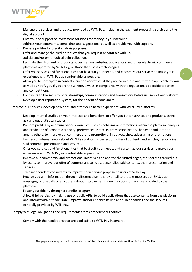

- Manage the services and products provided by WTN Pay, including the payment processing service and the digital account.
- Give you the support of investment solutions for money in your account.
- Address your comments, complaints and suggestions, as well as provide you with support.
- Prepare profiles for credit analysis purposes.
- Offer and manage the credit products that you request or contract with us.
- Judicial and/or extra-judicial debt collection.
- Facilitate the shipment of products advertised on websites, applications and other electronic commerce platforms operated by WTN Pay, or those that use its technologies.
- Offer you services and functionalities that best suit your needs, and customize our services to make your experience with WTN Pay as comfortable as possible.
- Allow you to participate in contests, auctions or raffles, if they are carried out and they are applicable to you, as well as notify you if you are the winner, always in compliance with the regulations applicable to raffles and competitions.
- Contribute to the security of relationships, communications and transactions between users of our platform.
- Develop a user reputation system, for the benefit of consumers.

Improve our services, develop new ones and offer you a better experience with WTN Pay platforms.

- Develop internal studies on your interests and behaviors, to offer you better services and products, as well as carry out statistical studies.
- Prepare profiles by analyzing various variables, such as behavior or interactions within the platform, analysis and prediction of economic capacity, preferences, interests, transaction history, behavior and location, among others, to improve our commercial and promotional initiatives, show advertising or promotions, banners of interest, news about WTN Pay platforms, perfect our offer of contents and articles, personalize said contents, presentation and services.
- Offer you services and functionalities that best suit your needs, and customize our services to make your experience with WTN Pay as comfortable as possible.
- Improve our commercial and promotional initiatives and analyze the visited pages, the searches carried out by users, to improve our offer of contents and articles, personalize said contents, their presentation and services.
- Train independent consultants to improve their service proposal to users of WTN Pay.
- Provide you with information through different channels (by email, short text messages or SMS, push messages, phone calls or any other) about improvements, new functions or services provided by the platform.
- Foster your fidelity through a benefits program.
	- Allow third parties, by making use of public APIs, to build applications that use contents from the platform and interact with it to facilitate, improve and/or enhance its use and functionalities and the services generally provided by WTN Pay.

Comply with legal obligations and requirements from competent authorities.

Comply with the regulations that are applicable to WTN Pay in general.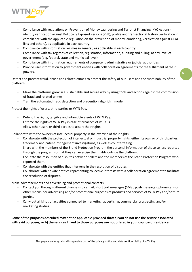

- Compliance with regulations on Prevention of Money Laundering and Terrorist Financing (KYC Actions), identity verification against Politically Exposed Persons (PEP), profile and transactional history verification in compliance with the applicable regulation on the prevention of money laundering, verification against OFAC lists and others), as applicable in each country.
- Compliance with information regimes in general, as applicable in each country.
- Compliance with tax regimes of collection, registration, information, auditing and billing, at any level of government (e.g. federal, state and municipal level).
- Compliance with information requirements of competent administrative or judicial authorities.
- Provide user information to government entities with collaboration agreements for the fulfillment of their powers.

Detect and prevent fraud, abuse and related crimes to protect the safety of our users and the sustainability of the platforms.

- Make the platforms grow in a sustainable and secure way by using tools and actions against the commission of fraud and related crimes.
- Train the automated fraud detection and prevention algorithm model.

Protect the rights of users, third parties or WTN Pay.

- Defend the rights, tangible and intangible assets of WTN Pay.
- Enforce the rights of WTN Pay in case of breaches of its TYCs.
- Allow other users or third parties to assert their rights.

Collaborate with the owners of intellectual property in the exercise of their rights.

- Collaborate with the protection of intellectual or industrial property rights, either its own or of third parties, trademark and patent infringement investigations, as well as counterfeiting.
- Share with the members of the Brand Protection Program the personal information of those sellers reported through the program so that they can exercise their rights outside the platform.
- Facilitate the resolution of disputes between sellers and the members of the Brand Protection Program who reported them.
- Collaborate with the entities that intervene in the resolution of disputes.
- Collaborate with private entities representing collective interests with a collaboration agreement to facilitate the resolution of disputes.

Make advertisements and advertising and promotional contacts.

- Contact you through different channels (by email, short text messages (SMS), push messages, phone calls or other means) for advertising and/or promotional purposes of products and services of WTN Pay and/or third parties.
- Carry out all kinds of activities connected to marketing, advertising, commercial prospecting and/or marketing studies.

**Some of the purposes described may not be applicable provided that: a) you do not use the service associated with said purposes, or b) the services linked to those purposes are not offered in your country of residence.**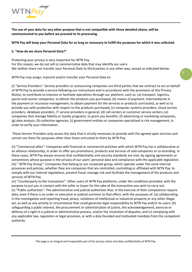

**The use of your data for any other purpose that is not compatible with those detailed above, will be communicated to you before we proceed to its processing.**

**WTN Pay will keep your Personal Data for as long as necessary to fulfill the purposes for which it was collected.** 

## **5. "How do we share Personal Data?"**

Protecting your privacy is very important for WTN Pay. For this reason, we do not sell or commercialize data that may identify our users. We neither share nor transfer your Personal Data to third parties in any other way, except as indicated below:

**7**

WTN Pay may assign, transmit and/or transfer your Personal Data to:

(i) "Service Providers": Service providers or outsourcing companies are third parties that we contract to act on behalf of WTN Pay to provide a service following our instructions and in accordance with the provisions of this Privacy Notice, to contribute to improve or facilitate operations through our platform, such as: (a) transport, logistics, parcel and courier companies, to deliver the products you purchased, (b) means of payment, intermediaries in the payment or insurance management, to obtain payment for the services or products contracted, as well as to provide you with protection with respect to the products purchased, (c) computer systems providers, cloud service providers, database providers, IT service providers in general, (d) call centers or customer service centers, (e) companies that manage fidelity or loyalty programs, to grant you benefits, (f) advertising or marketing companies, (g) data analysis, (h) collection agencies, (i) government entities or companies specialized in risk management, in order to verify your information.

These Service Providers only access the data that is strictly necessary to provide with the agreed upon services and cannot use them for purposes other than those entrusted to them by WTN Pay.

(ii) "Commercial allies": Companies with financial or commercial activities with which WTN Pay has a collaborative or an alliance relationship, in order to offer you promotions, products and services of said companies or co-branding. In these cases, WTN Pay always ensures that confidentiality and security standards are met, by signing agreements or conventions whose purpose is the privacy of our users' personal data and compliance with the applicable legislation. (iii) " WTN Pay Group": Companies that belong to our corporate group, which operate under the same internal processes and policies, whether they are companies that are controlled, controlling or affiliated with WTN Pay, to comply with our internal regulations, prevent fraud, manage risk and facilitate the management of the products and services of WTN Pay.

(iv) "Counterparty to the transaction": Other users of WTN Pay platforms, under the conditions provided, with the purpose to put you in contact with the seller or buyer for the sake of the transaction you wish to carry out. (v) "Public authorities": The administrative and judicial authorities that, in the exercise of their competence require data, even if there is no order or executive or judicial summon to that effect, with the purposes of: (a) collaborating in the investigation and reporting fraud, piracy, violations of intellectual or industrial property or any other illegal act, as well as any activity or circumstance that could generate legal responsibility to WTN Pay and/or its users; (b) safeguarding a public interest, the procurement or administration of justice, the acknowledgement, exercise or defense of a right in a judicial or administrative process, and/or the resolution of disputes; and (c) complying with any applicable law, regulation or legal provision, or with a duly founded and motivated mandate from the competent authority.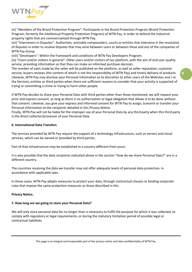

(vi) "Members of the Brand Protection Program": Participants in the Brand Protection Program (Brand Protection Program, formerly the Intellectual Property Protection Program) of WTN Pay, in order to defend the industrial property rights that are commercialized through WTN Pay.

(vii) "Interveners in Disputes": Authorities, amicable compounders, courts or entities that intervene in the resolution of disputes in order to resolve disputes that may arise between users or between these and any of the companies of WTN Pay Group.

(viii) "Developers": Within the framework and conditions of WTN Pay Developers Program.

(ix) "Users and/or visitors in general": Other users and/or visitors of our platform, with the aim of end user quality service, providing information so that they can make an informed purchase decision.

The number of sales made by the seller will be published on the platform, as well as seller reputation, customer service, buyers reviews (the content of which is not the responsibility of WTN Pay) and timely delivery of products. Likewise, WTN Pay may disclose your Personal Information at its discretion to other users of the Websites and / or the Services, entities or third parties when there are sufficient reasons to consider that your activity is suspected of trying or committing a crime or trying to harm other people.

**8**

If WTN Pay decides to share your Personal Data with third parties other than those mentioned, we will request your prior and express consent, as long as there is no authorization or legal obligation that allows it to be done without that consent. Likewise, you give your express and informed consent for WTN Pay to assign, transmit or transfer your Personal Information to the recipients detailed in this Privacy Notice.

Finally, WTN Pay will not be liable for the improper use of your Personal Data by any third party when this third party is the direct collector/processor of your Personal Data.

## **6. International Data Transfers**

The services provided by WTN Pay require the support of a technology infrastructure, such as servers and cloud services, which can be owned or provided by third parties.

Part of that infrastructure may be established in a country different from yours.

It is also possible that the data recipients indicated above in the section "How do we share Personal Data?" are in a different country.

The countries receiving the data we transfer may not offer adequate levels of personal data protection, in accordance with applicable laws.

In these cases, WTN Pay adopts measures to protect your data, through contractual clauses or binding corporate rules that impose the same protection measures as those described in this

#### **Privacy Notice.**

#### **7. How long are we going to store your Personal Data?**

We will only store personal data for no longer than is necessary to fulfill the purpose for which it was collected, to comply with regulatory or legal requirements, or during the statutory limitation period of possible legal or contractual liabilities.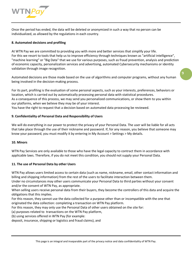

Once the period has ended, the data will be deleted or anonymized in such a way that no person can be individualized, as allowed by the regulations in each country.

## **8. Automated decisions and profiling**

At WTN Pay we are committed to providing you with more and better services that simplify your life. For this we resort to tools that help us to improve efficiency through techniques known as "artificial intelligence", "machine learning" or "Big Data" that we use for various purposes, such as fraud prevention, analysis and prediction of economic capacity, personalization services and advertising, automated Cybersecurity mechanisms or identity validation through image recognition.

**9**

Automated decisions are those made based on the use of algorithms and computer programs, without any human being involved in the decision-making process.

For its part, profiling is the evaluation of some personal aspects, such as your interests, preferences, behaviors or location, which is carried out by automatically processing personal data with statistical procedures. As a consequence of this process, we may send you personalized communications, or show them to you within our platforms, when we believe they may be of your interest.

You have the right to request that a decision based on automated data processing be reviewed.

## **9. Confidentiality of Personal Data and Responsibility of Users**

We will do everything in our power to protect the privacy of your Personal Data. The user will be liable for all acts that take place through the use of their nickname and password. If, for any reason, you believe that someone may know your password, you must modify it by entering in My Account > Settings > My details.

#### **10. Minors**

WTN Pay Services are only available to those who have the legal capacity to contract them in accordance with applicable laws. Therefore, if you do not meet this condition, you should not supply your Personal Data.

#### **11. The use of Personal Data by other Users**

WTN Pay allows users limited access to certain data (such as name, nickname, email, other contact information and billing and shipping information) from the rest of the users to facilitate interaction between them.

Under no circumstances may other users communicate your Personal Data to third parties without your consent and/or the consent of WTN Pay, as appropriate.

When selling users receive personal data from their buyers, they become the controllers of this data and acquire the obligations that this implies.

For this reason, they cannot use the data collected for a purpose other than or incompatible with the one that originated the data collection: completing a transaction on WTN Pay platform.

For this reason, they may only use the Personal Data of other users obtained on the site for:

(a) purposes related to transactions on the WTN Pay platform,

(b) using services offered in WTN Pay (for example:

deposit, insurance, shipping or logistics and fraud claims), and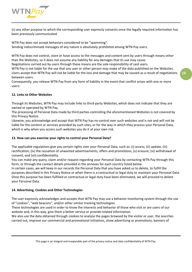

(c) any other purpose to which the corresponding user expressly consents once the legally required information has been previously communicated.

WTN Pay does not accept behaviors considered to be "spamming". Sending indiscriminate messages of any nature is absolutely prohibited among WTN Pay users.

WTN Pay does not control, store or have access to the messages and content sent by users through means other than the Websites, so it does not assume any liability for any damages that its use may cause.

Negotiations carried out by users through these means are the sole responsibility of said users.

WTN Pay is not liable for the use that any user or other person may make of the data published on the Websites. Users accept that WTN Pay will not be liable for the loss and damage that may be caused as a result of negotiations between users.

Consequently, you release WTN Pay from any form of liability in the event that conflict arises with one or more users.

# **12. Links to Other Websites**

Through its Websites, WTN Pay may include links to third-party Websites, which does not indicate that they are owned or operated by WTN Pay.

The processing of Personal Data made by third parties controlling the aforementioned Websites is not covered by this Privacy Notice.

Likewise, you acknowledge and accept that WTN Pay has no control over such websites and is not and will not be liable for the content or services provided by such sites, or for the way in which they process your Personal Data, which is why when you access such websites you do it at your own risk.

## **13. How can you exercise your rights to control your Personal Data?**

The applicable regulations give you certain rights over your Personal Data, such as: (i) access; (ii) update; (iii) rectification; (iv) the cessation of unwanted advertisements, offers and promotions; (v) erasure; (vi) withdrawal of consent; and (vii) confidentiality.

You can make any query, claim and/or request regarding your Personal Data by contacting WTN Pay through this form; or through the contact details provided in the annexes for each country listed below.

In certain cases, we will keep in our records the Personal Data that you have asked us to delete, to fulfill the purposes described in this Privacy Notice or when there is a contractual or legal duty to maintain your Personal Data. Once this purpose has been fulfilled or contractual or legal duty have been eliminated, we will proceed to delete your Personal Data.

#### **14. Advertising, Cookies and Other Technologies**

The user expressly acknowledges and accepts that WTN Pay may use a behavior monitoring system through the use of "cookies", "web beacons", and/or other similar tracking technologies.

These technologies are used in order to know the interests and behavior of those who visit or are users of our website and, in this way, give them a better service or provide related information.

We also use the data obtained through cookies to analyze the pages browsed by the visitor or user, the searches carried out, improve our commercial and promotional initiatives, show advertising or promotions, banners of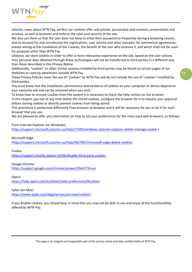

interest, news about WTN Pay, perfect our content offer and articles, personalize said contents, presentation and services, as well as promote and enforce the rules and security of the site.

We also use them so that the user does not have to enter their password so frequently during a browsing session, also to account for and corroborate the registrations, user activity and other concepts for commercial agreements, always aiming at the installation of the Cookies, the benefit of the user who receives it, and which shall not be used for purposes other than WTN Pay.

Likewise, we store cookies in order to offer a more interactive experience on the site, based on the user actions. Your personal data obtained through these technologies will not be transferred to third parties in a different way than those described in this Privacy Notice.

Additionally, "cookies" or other similar systems installed by third parties may be found on certain pages of our Websites or used by advertisers outside WTN Pay.

These Privacy Policies cover the use of "cookies" by WTN Pay and do not include the use of "cookies" installed by third parties.

You must know that the installation, permanence and existence of cookies on your computer or device depend on your exclusive will and can be removed when you wish.

To know how to remove Cookies from the system it is necessary to check the Help section on the browser. In this respect, you can at any time delete the stored cookies, configure the browser for it to request your approval before storing cookies or directly prevent cookies from being stored.

This procedure is performed differently from browser to browser and it will be necessary for you to do it for each browser that you use.

We are pleased to offer you information on how to set your preferences for the most used web browsers, as follows:

From Internet Explorer (on Windows)

<https://support.microsoft.com/en-us/help/17442/windows-internet-explorer-delete-manage-cookie> s

Microsoft Edge

<https://support.microsoft.com/en-us/help/4027947/microsoft-edge-delete-cookies>

Firefox

<https://support.mozilla.org/en-US/kb/disable-third-party-cookies>

# Google Chrome

<https://support.google.com/chrome/answer/95647?hl=en>

Opera

<https://help.opera.com/en/latest/web-preferences/#cookies>

Safari (on Mac)

<https://www.apple.com/legal/privacy/en-ww/cookies/>

If you disable cookies, you should bear in mind that you may not be able to use and enjoy all the functionalities offered by WTN Pay.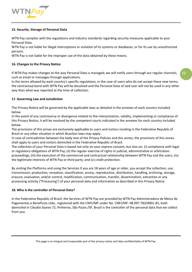

## **15. Security. Storage of Personal Data**

WTN Pay complies with the regulations and industry standards regarding security measures applicable to your Personal Data.

WTN Pay is not liable for illegal interceptions or violation of its systems or databases, or for its use by unauthorized persons.

WTN Pay is not liable for the improper use of the data obtained by these means.

## **16. Changes to the Privacy Notice**

If WTN Pay makes changes to the way Personal Data is managed, we will notify users through our regular channels, such as email or messages through applications.

In the terms allowed by each country's specific regulations, in the case of users who do not accept these new terms, the contractual bond with WTN Pay will be dissolved and the Personal Data of said user will not be used in any other way than what was reported at the time of collection.

## **17. Governing Law and Jurisdiction**

The Privacy Notice will be governed by the applicable laws as detailed in the annexes of each country included below.

In the event of any controversy or divergence related to the interpretation, validity, implementing or compliance of this Privacy Notice, it will be resolved by the competent courts indicated in the annexes for each country included below.

The provisions of this annex are exclusively applicable to users and visitors residing in the Federative Republic of Brazil or any other situation in which Brazilian laws may apply.

In case of contradiction between the body text of the Privacy Policies and this annex, the provisions of this annex shall apply to users and visitors domiciled in the Federative Republic of Brazil.

The collection of your Personal Data is based not only on your express consent, but also on: (i) compliance with legal or regulatory obligations of WTN Pay; (ii) the regular exercise of rights in judicial, administrative or arbitration proceedings; (iii) the execution of the commercial and contractual relationship between WTN Pay and the users; (iv) the legitimate interests of WTN Pay or third party; and (v) credit protection.

By visiting the Platforms and using the Services if you are 18 years of age or older, you accept the collection, use, transmission, production, reception, classification, access, reproduction, distribution, handling, archiving, storage, erasure, evaluation, and/or control, modification, communication, transfer, dissemination, extraction or any processing activity ("Processing") of your personal data and information as described in this Privacy Notice

#### **18. Who is the controller of Personal Data?**

In the Federative Republic of Brazil, the Services of WTN Pay are provided by WTN Pay Administradora de Meios de Pagamentos e Beneficios Ltda., registered with the CNPJ/MF under No. CNPJ/MF: 08.097.783/0001-85, both domiciled in Cláudio Soares 72, Pinheiros, São Paulo /SP, Brazil is the controller of the personal data that we collect from you.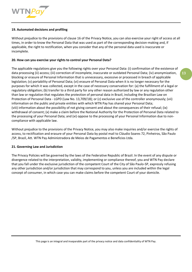

## **19. Automated decisions and profiling**

Without prejudice to the provisions of clause 16 of the Privacy Notice, you can also exercise your right of access at all times, in order to know the Personal Data that was used as part of the corresponding decision-making and, if applicable, the right to rectification, when you consider that any of the personal data used is inaccurate or incomplete.

## **20. How can you exercise your rights to control your Personal Data?**

The applicable regulations give you the following rights over your Personal Data: (i) confirmation of the existence of data processing (ii) access; (iii) correction of incomplete, inaccurate or outdated Personal Data; (iv) anonymization, blocking or erasure of Personal Information that is unnecessary, excessive or processed in breach of applicable legislation; (v) portability of Personal Data; (vi) erasure of Personal Data when it is no longer necessary for the purposes for which it was collected, except in the case of necessary conservation for: (a) the fulfillment of a legal or regulatory obligation; (b) transfer to a third party for any other reason authorized by law or any regulation other than law or regulation that regulates the protection of personal data in Brazil, including the Brazilian Law on Protection of Personal Data - LGPD (Law No. 13,709/18); or (c) exclusive use of the controller anonymously; (vii) information on the public and private entities with which WTN Pay has shared your Personal Data; (viii) information about the possibility of not giving consent and about the consequences of their refusal; (ix) withdrawal of consent; (x) make a claim before the National Authority for the Protection of Personal Data related to the processing of your Personal Data; and (xi) oppose to the processing of your Personal Information due to noncompliance with applicable law.

Without prejudice to the provisions of the Privacy Notice, you may also make inquiries and/or exercise the rights of access, to rectification and erasure of your Personal Data by postal mail to Cláudio Soares 72, Pinheiros, São Paulo /SP, Brazil, Att. WTN Pay Administradora de Meios de Pagamentos e Beneficios Ltda.

#### **21. Governing Law and Jurisdiction**

The Privacy Policies will be governed by the laws of the Federative Republic of Brazil. In the event of any dispute or divergence related to the interpretation, validity, implementing or compliance thereof, you and WTN Pay declare that you fall under the exclusive jurisdiction of the competent Court of the City of São Paulo-SP, expressly refusing any other jurisdiction and/or jurisdiction that may correspond to you, unless you are included within the legal concept of consumer, in which case you can make claims before the competent Court of your domicile.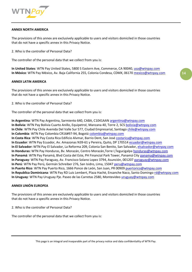

#### **ANNEX NORTH AMERICA**

The provisions of this annex are exclusively applicable to users and visitors domiciled in those countries that do not have a specific annex in this Privacy Notice.

2. Who is the controller of Personal Data?

The controller of the personal data that we collect from you is:

In United States: WTN Pay United States, 5800 S Eastern Ave, Commerce, CA 90040, [usa@wtnpay.com](mailto:usa@wtnpay.com) **In México**: WTN Pay México, Av. Baja California 255, Colonia Condesa, CDMX, 06170 [mexico@wtnpay.com](mailto:mexico@wtnpay.com)

#### **ANNEX LATIN AMERICA**

The provisions of this annex are exclusively applicable to users and visitors domiciled in those countries that do not have a specific annex in this Privacy Notice.

2. Who is the controller of Personal Data?

The controller of the personal data that we collect from you is:

**In Argentina**: WTN Pay Argentina, Sarmiento 640, CABA, C1041AAN [argentina@wtnpay.com](mailto:argentina@wtnpay.com) **In Bolívia:** WTN Pay Bolívia Cuarto Anillo, Equipetrol, Manzana 40, Torre 2, SCS [bolivia@wtnpay.com](mailto:bolivia@wtnpay.com) **In Chile**: WTN Pay Chile Avenida Del Valle Sur 577, Ciudad Empresarial, Santiag[o chile@wtnpay.com](mailto:chile@wtnpay.com) **In Colombia**: WTN Pay Colombia CR16#97-94, Bogotá [colombia@wtnpay.com](mailto:colombia@wtnpay.com) **In Costa Rica**: WTN Pay Costa Rica Edificio Alvmar, Barrio Dent, San José [costarica@wtnpay.com](mailto:costarica@wtnpay.com) **In Ecuador**: WTN Pay Ecuador, Av. Amazonas N39-61 y Pereira, Quito, DP 170514 [ecuador@wtnpay.com](mailto:ecuador@wtnpay.com) **In El Salvador:** WTN Pay El Salvador, La Reforma 209, Colonia San Benito, San Salvador, [elsalvador@wtnpay.com](mailto:elsalvador@wtnpay.com) **In Honduras:** WTN Pay Honduras, Bv. Morazán, Centro Morazán,Torre I,Tegucigalpa [honduras@wtnpay.com](mailto:honduras@wtnpay.com) **In Panamá**: WTN Pay Panamá, Blvd Costa del Este, PH Financial Park Tower, Panamá City [panama@wtnpay.com](mailto:panama@wtnpay.com) **In Paraguay**: WTN Pay Paraguay, Av. Francisco Solano Lopez 3794, Asunción, 001207 [paraguay@wtnpay.com](mailto:paraguay@wtnpay.com)  In Perú: WTN Pay Perú, Germán Schreiber 276, San Isidro, Lima, 15047 [peru@wtnpay.com](mailto:peru@wtnpay.com) **In Puerto Rico**: WTN Pay Puerto Rico, 1666 Ponce de León, San Juan, PR 00909 [puertorico@wtnpay.com](mailto:puertorico@wtnpay.com) **In Republica Dominicana**: WTN Pay RD Luis Lembert, Plaza Hachè, Ensanche Naco, Santo Doming[o rd@wtnpay.com](mailto:rd@wtnpay.com) **In Uruguay**: WTN Pay Uruguay Pje. Paseo de las Carretas 2580, Montevideo [uruguay@wtnpay.com](mailto:uruguay@wtnpay.com)

#### **ANNEX UNIÓN EUROPEA**

The provisions of this annex are exclusively applicable to users and visitors domiciled in those countries that do not have a specific annex in this Privacy Notice.

2. Who is the controller of Personal Data?

The controller of the personal data that we collect from you is: